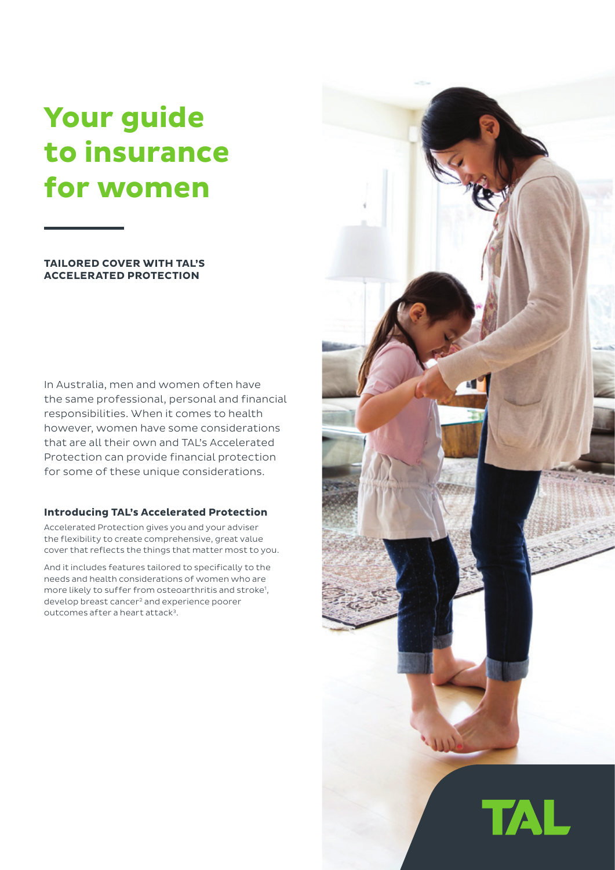# **Your guide to insurance for women**

# **TAILORED COVER WITH TAL'S ACCELERATED PROTECTION**

In Australia, men and women often have the same professional, personal and financial responsibilities. When it comes to health however, women have some considerations that are all their own and TAL's Accelerated Protection can provide financial protection for some of these unique considerations.

## **Introducing TAL's Accelerated Protection**

Accelerated Protection gives you and your adviser the flexibility to create comprehensive, great value cover that reflects the things that matter most to you.

And it includes features tailored to specifically to the needs and health considerations of women who are more likely to suffer from osteoarthritis and stroke<sup>1</sup>, develop breast cancer2 and experience poorer outcomes after a heart attack<sup>3</sup>.